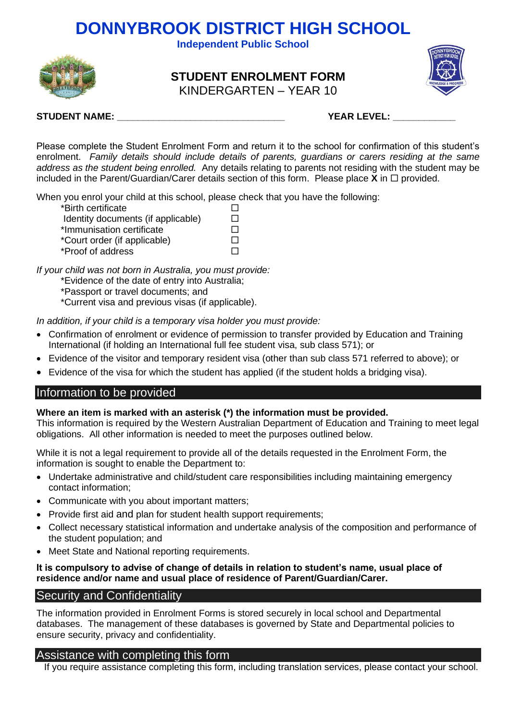**Independent Public School**



**STUDENT ENROLMENT FORM** KINDERGARTEN – YEAR 10



## **STUDENT NAME: \_\_\_\_\_\_\_\_\_\_\_\_\_\_\_\_\_\_\_\_\_\_\_\_\_\_\_\_\_\_\_\_ YEAR LEVEL: \_\_\_\_\_\_\_\_\_\_\_\_**

Please complete the Student Enrolment Form and return it to the school for confirmation of this student's enrolment. *Family details should include details of parents, guardians or carers residing at the same address as the student being enrolled.* Any details relating to parents not residing with the student may be included in the Parent/Guardian/Carer details section of this form. Please place  $\bar{\mathbf{X}}$  in  $\Box$  provided.

When you enrol your child at this school, please check that you have the following:

Identity documents (if applicable) □<br>
I D

| *Immunisation certificate    | П |
|------------------------------|---|
| *Court order (if applicable) | □ |

\*Proof of address

*If your child was not born in Australia, you must provide:*

- \*Evidence of the date of entry into Australia;
- \*Passport or travel documents; and
- \*Current visa and previous visas (if applicable).

*In addition, if your child is a temporary visa holder you must provide:*

- Confirmation of enrolment or evidence of permission to transfer provided by Education and Training International (if holding an International full fee student visa, sub class 571); or
- Evidence of the visitor and temporary resident visa (other than sub class 571 referred to above); or
- Evidence of the visa for which the student has applied (if the student holds a bridging visa).

## Information to be provided

### **Where an item is marked with an asterisk (\*) the information must be provided.**

This information is required by the Western Australian Department of Education and Training to meet legal obligations. All other information is needed to meet the purposes outlined below.

While it is not a legal requirement to provide all of the details requested in the Enrolment Form, the information is sought to enable the Department to:

- Undertake administrative and child/student care responsibilities including maintaining emergency contact information;
- Communicate with you about important matters;
- Provide first aid and plan for student health support requirements;
- Collect necessary statistical information and undertake analysis of the composition and performance of the student population; and
- Meet State and National reporting requirements.

### **It is compulsory to advise of change of details in relation to student's name, usual place of residence and/or name and usual place of residence of Parent/Guardian/Carer.**

## Security and Confidentiality

The information provided in Enrolment Forms is stored securely in local school and Departmental databases. The management of these databases is governed by State and Departmental policies to ensure security, privacy and confidentiality.

# Assistance with completing this form

If you require assistance completing this form, including translation services, please contact your school.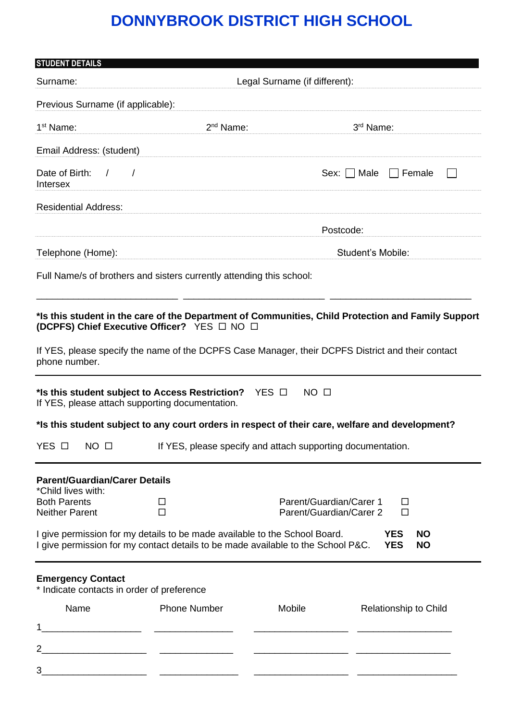| <b>STUDENT DETAILS</b>                                                 |                                                                                                                                                                |                                                             |                                                                                                    |  |  |  |  |  |  |  |
|------------------------------------------------------------------------|----------------------------------------------------------------------------------------------------------------------------------------------------------------|-------------------------------------------------------------|----------------------------------------------------------------------------------------------------|--|--|--|--|--|--|--|
| Surname:                                                               | Legal Surname (if different):                                                                                                                                  |                                                             |                                                                                                    |  |  |  |  |  |  |  |
| Previous Surname (if applicable):                                      |                                                                                                                                                                |                                                             |                                                                                                    |  |  |  |  |  |  |  |
| 1 <sup>st</sup> Name:                                                  | 2 <sup>nd</sup> Name:                                                                                                                                          |                                                             | 3 <sup>rd</sup> Name:                                                                              |  |  |  |  |  |  |  |
| Email Address: (student)                                               |                                                                                                                                                                |                                                             |                                                                                                    |  |  |  |  |  |  |  |
| Date of Birth: / /<br>Intersex                                         |                                                                                                                                                                |                                                             | Sex:     Male<br>$\Box$ Female                                                                     |  |  |  |  |  |  |  |
| <b>Residential Address:</b>                                            |                                                                                                                                                                |                                                             |                                                                                                    |  |  |  |  |  |  |  |
|                                                                        |                                                                                                                                                                | Postcode:                                                   |                                                                                                    |  |  |  |  |  |  |  |
| Telephone (Home):                                                      |                                                                                                                                                                |                                                             | Student's Mobile:                                                                                  |  |  |  |  |  |  |  |
|                                                                        | Full Name/s of brothers and sisters currently attending this school:                                                                                           |                                                             |                                                                                                    |  |  |  |  |  |  |  |
| phone number.                                                          | (DCPFS) Chief Executive Officer? YES □ NO □<br>If YES, please specify the name of the DCPFS Case Manager, their DCPFS District and their contact               |                                                             | *Is this student in the care of the Department of Communities, Child Protection and Family Support |  |  |  |  |  |  |  |
|                                                                        | *Is this student subject to Access Restriction? $YES \Box$<br>If YES, please attach supporting documentation.                                                  | NO <sub>0</sub>                                             |                                                                                                    |  |  |  |  |  |  |  |
|                                                                        | *Is this student subject to any court orders in respect of their care, welfare and development?                                                                |                                                             |                                                                                                    |  |  |  |  |  |  |  |
| YES □<br>$NO$ $\Box$                                                   |                                                                                                                                                                | If YES, please specify and attach supporting documentation. |                                                                                                    |  |  |  |  |  |  |  |
| <b>Parent/Guardian/Carer Details</b><br>*Child lives with:             |                                                                                                                                                                |                                                             |                                                                                                    |  |  |  |  |  |  |  |
| <b>Both Parents</b><br><b>Neither Parent</b>                           | □<br>$\Box$                                                                                                                                                    | Parent/Guardian/Carer 1<br>Parent/Guardian/Carer 2          | □<br>$\Box$                                                                                        |  |  |  |  |  |  |  |
|                                                                        | I give permission for my details to be made available to the School Board.<br>I give permission for my contact details to be made available to the School P&C. |                                                             | <b>YES</b><br><b>NO</b><br><b>YES</b><br><b>NO</b>                                                 |  |  |  |  |  |  |  |
| <b>Emergency Contact</b><br>* Indicate contacts in order of preference |                                                                                                                                                                |                                                             |                                                                                                    |  |  |  |  |  |  |  |
| Name                                                                   | <b>Phone Number</b>                                                                                                                                            | Mobile                                                      | Relationship to Child                                                                              |  |  |  |  |  |  |  |
|                                                                        | <u> 1980 - Jan Stein Stein Stein Stein Stein Stein Stein Stein Stein Stein Stein Stein Stein Stein Stein Stein S</u>                                           |                                                             |                                                                                                    |  |  |  |  |  |  |  |
| 2                                                                      |                                                                                                                                                                |                                                             |                                                                                                    |  |  |  |  |  |  |  |
| 3                                                                      |                                                                                                                                                                |                                                             |                                                                                                    |  |  |  |  |  |  |  |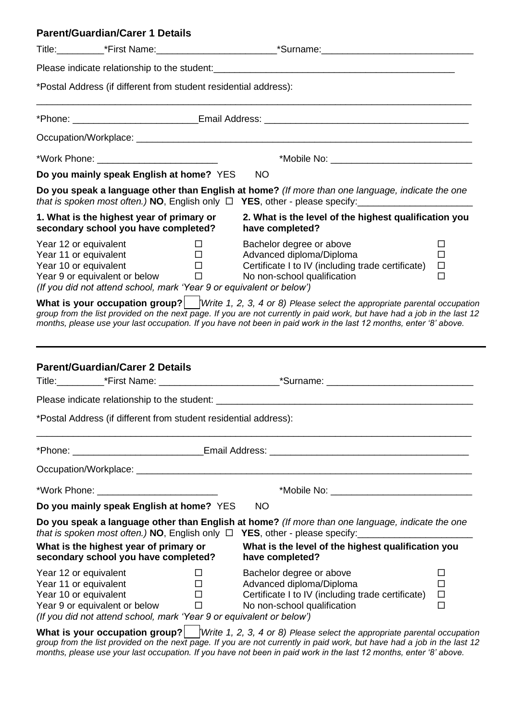|                                                                         | <b>Parent/Guardian/Carer 1 Details</b>                                                                |                                      |                                                                                                                                                                                                                                                                                                                                                              |                                 |
|-------------------------------------------------------------------------|-------------------------------------------------------------------------------------------------------|--------------------------------------|--------------------------------------------------------------------------------------------------------------------------------------------------------------------------------------------------------------------------------------------------------------------------------------------------------------------------------------------------------------|---------------------------------|
|                                                                         |                                                                                                       |                                      | Title:_____________*First Name:________________________________*Surname:____________________________                                                                                                                                                                                                                                                         |                                 |
|                                                                         |                                                                                                       |                                      |                                                                                                                                                                                                                                                                                                                                                              |                                 |
|                                                                         | *Postal Address (if different from student residential address):                                      |                                      |                                                                                                                                                                                                                                                                                                                                                              |                                 |
|                                                                         |                                                                                                       |                                      |                                                                                                                                                                                                                                                                                                                                                              |                                 |
|                                                                         |                                                                                                       |                                      |                                                                                                                                                                                                                                                                                                                                                              |                                 |
|                                                                         | *Work Phone: ___________________________                                                              |                                      |                                                                                                                                                                                                                                                                                                                                                              |                                 |
|                                                                         | Do you mainly speak English at home? YES                                                              |                                      | <b>NO</b>                                                                                                                                                                                                                                                                                                                                                    |                                 |
|                                                                         |                                                                                                       |                                      | Do you speak a language other than English at home? (If more than one language, indicate the one<br>that is spoken most often.) NO, English only $\Box$ YES, other - please specify:                                                                                                                                                                         |                                 |
|                                                                         | 1. What is the highest year of primary or<br>secondary school you have completed?                     |                                      | 2. What is the level of the highest qualification you<br>have completed?                                                                                                                                                                                                                                                                                     |                                 |
| Year 12 or equivalent<br>Year 11 or equivalent<br>Year 10 or equivalent | Year 9 or equivalent or below<br>(If you did not attend school, mark 'Year 9 or equivalent or below') | $\Box$<br>$\Box$<br>$\Box$<br>$\Box$ | Bachelor degree or above<br>Advanced diploma/Diploma<br>Certificate I to IV (including trade certificate)<br>No non-school qualification                                                                                                                                                                                                                     | □<br>$\Box$<br>$\Box$<br>$\Box$ |
|                                                                         |                                                                                                       |                                      | What is your occupation group? $ $ Write 1, 2, 3, 4 or 8) Please select the appropriate parental occupation<br>group from the list provided on the next page. If you are not currently in paid work, but have had a job in the last 12<br>months, please use your last occupation. If you have not been in paid work in the last 12 months, enter '8' above. |                                 |
|                                                                         | <b>Parent/Guardian/Carer 2 Details</b>                                                                |                                      |                                                                                                                                                                                                                                                                                                                                                              |                                 |
|                                                                         |                                                                                                       |                                      |                                                                                                                                                                                                                                                                                                                                                              |                                 |
|                                                                         | *Postal Address (if different from student residential address):                                      |                                      |                                                                                                                                                                                                                                                                                                                                                              |                                 |
|                                                                         |                                                                                                       |                                      |                                                                                                                                                                                                                                                                                                                                                              |                                 |
|                                                                         |                                                                                                       |                                      |                                                                                                                                                                                                                                                                                                                                                              |                                 |
|                                                                         |                                                                                                       |                                      |                                                                                                                                                                                                                                                                                                                                                              |                                 |
|                                                                         | Do you mainly speak English at home? YES                                                              |                                      | <b>NO</b>                                                                                                                                                                                                                                                                                                                                                    |                                 |
|                                                                         | that is spoken most often.) NO, English only $\Box$<br>What is the highest year of primary or         |                                      | Do you speak a language other than English at home? (If more than one language, indicate the one<br>What is the level of the highest qualification you                                                                                                                                                                                                       |                                 |
|                                                                         | secondary school you have completed?                                                                  |                                      | have completed?                                                                                                                                                                                                                                                                                                                                              |                                 |
| Year 12 or equivalent<br>Year 11 or equivalent<br>Year 10 or equivalent | Year 9 or equivalent or below<br>(If you did not attend school, mark 'Year 9 or equivalent or below') | $\Box$<br>$\Box$<br>$\Box$<br>$\Box$ | Bachelor degree or above<br>Advanced diploma/Diploma<br>Certificate I to IV (including trade certificate)<br>No non-school qualification                                                                                                                                                                                                                     | ⊔<br>$\Box$<br>$\Box$<br>$\Box$ |
|                                                                         |                                                                                                       |                                      | What is your occupation group? $ $ /Write 1, 2, 3, 4 or 8) Please select the appropriate parental occupation                                                                                                                                                                                                                                                 |                                 |

*group from the list provided on the next page. If you are not currently in paid work, but have had a job in the last 12 months, please use your last occupation. If you have not been in paid work in the last 12 months, enter '8' above.*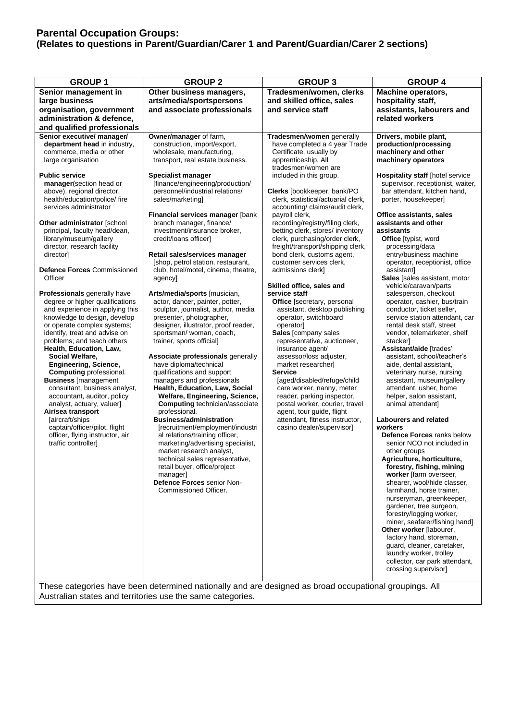## **Parental Occupation Groups: (Relates to questions in Parent/Guardian/Carer 1 and Parent/Guardian/Carer 2 sections)**

| <b>GROUP1</b>                                                                                                                                                                                                                                                                                                                                                                                                                                                                                                                                                                                                                                                                                                                                                                                                                                                                                                                                                                                                                                                                                      | <b>GROUP 2</b>                                                                                                                                                                                                                                                                                                                                                                                                                                                                                                                                                                                                                                                                                                                                                                                                                                                                                                                                                                                                                                                                                                                                                                                                                                                                                                                                                                                               | <b>GROUP 3</b>                                                                                                                                                                                                                                                                                                                                                                                                                                                                                                                                                                                                                                                                                                                                                                                                                                                                                                                                                                                                                                    | <b>GROUP 4</b>                                                                                                                                                                                                                                                                                                                                                                                                                                                                                                                                                                                                                                                                                                                                                                                                                                                                                                                                                                                                                                                                                                                                                                                                                                                                                                                                                                                                                                                               |
|----------------------------------------------------------------------------------------------------------------------------------------------------------------------------------------------------------------------------------------------------------------------------------------------------------------------------------------------------------------------------------------------------------------------------------------------------------------------------------------------------------------------------------------------------------------------------------------------------------------------------------------------------------------------------------------------------------------------------------------------------------------------------------------------------------------------------------------------------------------------------------------------------------------------------------------------------------------------------------------------------------------------------------------------------------------------------------------------------|--------------------------------------------------------------------------------------------------------------------------------------------------------------------------------------------------------------------------------------------------------------------------------------------------------------------------------------------------------------------------------------------------------------------------------------------------------------------------------------------------------------------------------------------------------------------------------------------------------------------------------------------------------------------------------------------------------------------------------------------------------------------------------------------------------------------------------------------------------------------------------------------------------------------------------------------------------------------------------------------------------------------------------------------------------------------------------------------------------------------------------------------------------------------------------------------------------------------------------------------------------------------------------------------------------------------------------------------------------------------------------------------------------------|---------------------------------------------------------------------------------------------------------------------------------------------------------------------------------------------------------------------------------------------------------------------------------------------------------------------------------------------------------------------------------------------------------------------------------------------------------------------------------------------------------------------------------------------------------------------------------------------------------------------------------------------------------------------------------------------------------------------------------------------------------------------------------------------------------------------------------------------------------------------------------------------------------------------------------------------------------------------------------------------------------------------------------------------------|------------------------------------------------------------------------------------------------------------------------------------------------------------------------------------------------------------------------------------------------------------------------------------------------------------------------------------------------------------------------------------------------------------------------------------------------------------------------------------------------------------------------------------------------------------------------------------------------------------------------------------------------------------------------------------------------------------------------------------------------------------------------------------------------------------------------------------------------------------------------------------------------------------------------------------------------------------------------------------------------------------------------------------------------------------------------------------------------------------------------------------------------------------------------------------------------------------------------------------------------------------------------------------------------------------------------------------------------------------------------------------------------------------------------------------------------------------------------------|
| Senior management in<br>large business<br>organisation, government<br>administration & defence,                                                                                                                                                                                                                                                                                                                                                                                                                                                                                                                                                                                                                                                                                                                                                                                                                                                                                                                                                                                                    | Other business managers,<br>arts/media/sportspersons<br>and associate professionals                                                                                                                                                                                                                                                                                                                                                                                                                                                                                                                                                                                                                                                                                                                                                                                                                                                                                                                                                                                                                                                                                                                                                                                                                                                                                                                          | Tradesmen/women, clerks<br>and skilled office, sales<br>and service staff                                                                                                                                                                                                                                                                                                                                                                                                                                                                                                                                                                                                                                                                                                                                                                                                                                                                                                                                                                         | <b>Machine operators,</b><br>hospitality staff,<br>assistants, labourers and<br>related workers                                                                                                                                                                                                                                                                                                                                                                                                                                                                                                                                                                                                                                                                                                                                                                                                                                                                                                                                                                                                                                                                                                                                                                                                                                                                                                                                                                              |
| and qualified professionals<br>Senior executive/ manager/<br>department head in industry,<br>commerce, media or other<br>large organisation<br><b>Public service</b><br>manager(section head or<br>above), regional director,<br>health/education/police/ fire<br>services administrator<br>Other administrator [school<br>principal, faculty head/dean,<br>library/museum/gallery<br>director, research facility<br>director]<br><b>Defence Forces Commissioned</b><br>Officer<br>Professionals generally have<br>degree or higher qualifications<br>and experience in applying this<br>knowledge to design, develop<br>or operate complex systems;<br>identify, treat and advise on<br>problems; and teach others<br>Health, Education, Law,<br>Social Welfare,<br><b>Engineering, Science,</b><br><b>Computing professional.</b><br><b>Business</b> [management<br>consultant, business analyst,<br>accountant, auditor, policy<br>analyst, actuary, valuer]<br>Air/sea transport<br>[aircraft/ships<br>captain/officer/pilot, flight<br>officer, flying instructor, air<br>traffic controller] | Owner/manager of farm,<br>construction, import/export,<br>wholesale, manufacturing,<br>transport, real estate business.<br>Specialist manager<br>[finance/engineering/production/<br>personnel/industrial relations/<br>sales/marketing]<br>Financial services manager [bank<br>branch manager, finance/<br>investment/insurance broker,<br>credit/loans officer]<br>Retail sales/services manager<br>[shop, petrol station, restaurant,<br>club, hotel/motel, cinema, theatre,<br>agencyl<br>Arts/media/sports [musician,<br>actor, dancer, painter, potter,<br>sculptor, journalist, author, media<br>presenter, photographer,<br>designer, illustrator, proof reader,<br>sportsman/ woman, coach,<br>trainer, sports official]<br>Associate professionals generally<br>have diploma/technical<br>qualifications and support<br>managers and professionals<br>Health, Education, Law, Social<br>Welfare, Engineering, Science,<br>Computing technician/associate<br>professional.<br><b>Business/administration</b><br>[recruitment/employment/industri<br>al relations/training officer,<br>marketing/advertising specialist,<br>market research analyst,<br>technical sales representative,<br>retail buyer, office/project<br>manager]<br>Defence Forces senior Non-<br>Commissioned Officer.<br>These categories have been determined nationally and are designed as broad occupational groupings. All | Tradesmen/women generally<br>have completed a 4 year Trade<br>Certificate, usually by<br>apprenticeship. All<br>tradesmen/women are<br>included in this group.<br>Clerks [bookkeeper, bank/PO<br>clerk, statistical/actuarial clerk,<br>accounting/ claims/audit clerk,<br>payroll clerk,<br>recording/registry/filing clerk,<br>betting clerk, stores/ inventory<br>clerk, purchasing/order clerk,<br>freight/transport/shipping clerk,<br>bond clerk, customs agent,<br>customer services clerk.<br>admissions clerk]<br>Skilled office, sales and<br>service staff<br>Office [secretary, personal<br>assistant, desktop publishing<br>operator, switchboard<br>operator]<br>Sales [company sales<br>representative, auctioneer,<br>insurance agent/<br>assessor/loss adjuster,<br>market researcher]<br><b>Service</b><br>[aged/disabled/refuge/child<br>care worker, nanny, meter<br>reader, parking inspector,<br>postal worker, courier, travel<br>agent, tour guide, flight<br>attendant, fitness instructor,<br>casino dealer/supervisor] | Drivers, mobile plant,<br>production/processing<br>machinery and other<br>machinery operators<br>Hospitality staff [hotel service<br>supervisor, receptionist, waiter,<br>bar attendant, kitchen hand,<br>porter, housekeeper]<br>Office assistants, sales<br>assistants and other<br>assistants<br>Office [typist, word<br>processing/data<br>entry/business machine<br>operator, receptionist, office<br>assistant]<br>Sales [sales assistant, motor<br>vehicle/caravan/parts<br>salesperson, checkout<br>operator, cashier, bus/train<br>conductor, ticket seller,<br>service station attendant, car<br>rental desk staff, street<br>vendor, telemarketer, shelf<br>stacker<br>Assistant/aide [trades'<br>assistant, school/teacher's<br>aide, dental assistant,<br>veterinary nurse, nursing<br>assistant, museum/gallery<br>attendant, usher, home<br>helper, salon assistant,<br>animal attendant]<br>Labourers and related<br>workers<br><b>Defence Forces ranks below</b><br>senior NCO not included in<br>other groups<br>Agriculture, horticulture,<br>forestry, fishing, mining<br>worker [farm overseer,<br>shearer, wool/hide classer,<br>farmhand, horse trainer,<br>nurseryman, greenkeeper,<br>gardener, tree surgeon,<br>forestry/logging worker,<br>miner, seafarer/fishing hand]<br>Other worker [labourer,<br>factory hand, storeman,<br>guard, cleaner, caretaker,<br>laundry worker, trolley<br>collector, car park attendant,<br>crossing supervisor] |

Australian states and territories use the same categories.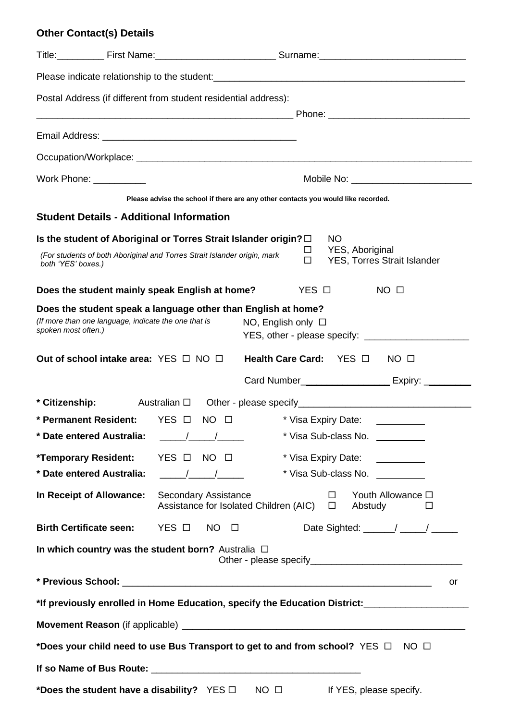# **Other Contact(s) Details**

|                          |  | Postal Address (if different from student residential address):                                                                                                                                                                                                                                                           |  |  |  |  |  |  |  |  |
|--------------------------|--|---------------------------------------------------------------------------------------------------------------------------------------------------------------------------------------------------------------------------------------------------------------------------------------------------------------------------|--|--|--|--|--|--|--|--|
|                          |  |                                                                                                                                                                                                                                                                                                                           |  |  |  |  |  |  |  |  |
|                          |  |                                                                                                                                                                                                                                                                                                                           |  |  |  |  |  |  |  |  |
|                          |  |                                                                                                                                                                                                                                                                                                                           |  |  |  |  |  |  |  |  |
| Work Phone: ___________  |  |                                                                                                                                                                                                                                                                                                                           |  |  |  |  |  |  |  |  |
|                          |  | Please advise the school if there are any other contacts you would like recorded.                                                                                                                                                                                                                                         |  |  |  |  |  |  |  |  |
|                          |  | <b>Student Details - Additional Information</b>                                                                                                                                                                                                                                                                           |  |  |  |  |  |  |  |  |
| both 'YES' boxes.)       |  | Is the student of Aboriginal or Torres Strait Islander origin? $\Box$<br><b>NO</b><br>YES, Aboriginal<br>□<br>(For students of both Aboriginal and Torres Strait Islander origin, mark<br>$\Box$<br>YES, Torres Strait Islander                                                                                           |  |  |  |  |  |  |  |  |
|                          |  | Does the student mainly speak English at home?<br>YES □<br>$NO$ $\square$                                                                                                                                                                                                                                                 |  |  |  |  |  |  |  |  |
| spoken most often.)      |  | Does the student speak a language other than English at home?<br>(If more than one language, indicate the one that is<br>NO, English only $\Box$                                                                                                                                                                          |  |  |  |  |  |  |  |  |
|                          |  | Out of school intake area: $YES \Box NO \Box$<br>Health Care Card: YES □<br>$NO$ $\Box$                                                                                                                                                                                                                                   |  |  |  |  |  |  |  |  |
|                          |  |                                                                                                                                                                                                                                                                                                                           |  |  |  |  |  |  |  |  |
|                          |  | * Citizenship: Australian $\Box$ Other - please specify ___________________________                                                                                                                                                                                                                                       |  |  |  |  |  |  |  |  |
|                          |  | * Permanent Resident: YES O NO O<br>* Visa Expiry Date:                                                                                                                                                                                                                                                                   |  |  |  |  |  |  |  |  |
|                          |  | * Visa Sub-class No. \[\]                                                                                                                                                                                                                                                                                                 |  |  |  |  |  |  |  |  |
|                          |  | *Temporary Resident: YES □ NO □<br>* Visa Expiry Date: \\end{math}                                                                                                                                                                                                                                                        |  |  |  |  |  |  |  |  |
| In Receipt of Allowance: |  | * Date entered Australia: The Mate of the Muslim Australian Australian Australian Australian Australian Australian Australian Australian Australian Australian Australian Australian Australian Australian Australian Australi<br>* Visa Sub-class No. \[\]<br>Youth Allowance □<br><b>Secondary Assistance</b><br>$\Box$ |  |  |  |  |  |  |  |  |
|                          |  | Assistance for Isolated Children (AIC) □<br>Abstudy<br>$\Box$                                                                                                                                                                                                                                                             |  |  |  |  |  |  |  |  |
|                          |  | Birth Certificate seen: YES □ NO □                                                                                                                                                                                                                                                                                        |  |  |  |  |  |  |  |  |
|                          |  | In which country was the student born? Australia $\Box$                                                                                                                                                                                                                                                                   |  |  |  |  |  |  |  |  |
|                          |  | or                                                                                                                                                                                                                                                                                                                        |  |  |  |  |  |  |  |  |
|                          |  | *If previously enrolled in Home Education, specify the Education District:_________________________                                                                                                                                                                                                                       |  |  |  |  |  |  |  |  |
|                          |  |                                                                                                                                                                                                                                                                                                                           |  |  |  |  |  |  |  |  |
|                          |  | *Does your child need to use Bus Transport to get to and from school? YES $\Box$ NO $\Box$                                                                                                                                                                                                                                |  |  |  |  |  |  |  |  |
|                          |  |                                                                                                                                                                                                                                                                                                                           |  |  |  |  |  |  |  |  |
|                          |  | *Does the student have a disability? YES $\square$ NO $\square$<br>If YES, please specify.                                                                                                                                                                                                                                |  |  |  |  |  |  |  |  |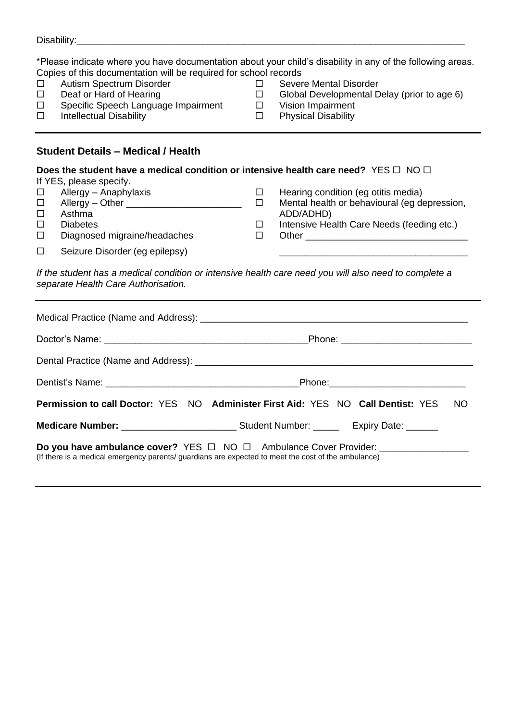|                                                                                                                                                                          | Disability: New York Changes and Changes and Changes and Changes and Changes and Changes and Changes and Changes and Changes and Changes and Changes and Changes and Changes and Changes and Changes and Changes and Changes a                                                                                                                                                                                                                |                                      |                                                                                                                                                                                                                                               |  |  |  |  |  |  |
|--------------------------------------------------------------------------------------------------------------------------------------------------------------------------|-----------------------------------------------------------------------------------------------------------------------------------------------------------------------------------------------------------------------------------------------------------------------------------------------------------------------------------------------------------------------------------------------------------------------------------------------|--------------------------------------|-----------------------------------------------------------------------------------------------------------------------------------------------------------------------------------------------------------------------------------------------|--|--|--|--|--|--|
| $\Box$<br>□<br>$\Box$<br>$\Box$                                                                                                                                          | Copies of this documentation will be required for school records<br>Autism Spectrum Disorder<br>Deaf or Hard of Hearing<br>Specific Speech Language Impairment<br><b>Intellectual Disability</b>                                                                                                                                                                                                                                              | $\Box$<br>$\Box$<br>$\Box$<br>$\Box$ | *Please indicate where you have documentation about your child's disability in any of the following areas.<br><b>Severe Mental Disorder</b><br>Global Developmental Delay (prior to age 6)<br>Vision Impairment<br><b>Physical Disability</b> |  |  |  |  |  |  |
|                                                                                                                                                                          | <b>Student Details - Medical / Health</b>                                                                                                                                                                                                                                                                                                                                                                                                     |                                      |                                                                                                                                                                                                                                               |  |  |  |  |  |  |
| $\Box$<br>□<br>$\Box$<br>□<br>$\Box$<br>$\Box$                                                                                                                           | Does the student have a medical condition or intensive health care need? YES $\Box$ NO $\Box$<br>If YES, please specify.<br>Allergy - Anaphylaxis<br>Allergy – Other _________________________<br>Asthma<br><b>Diabetes</b><br>Diagnosed migraine/headaches<br>Seizure Disorder (eg epilepsy)<br>If the student has a medical condition or intensive health care need you will also need to complete a<br>separate Health Care Authorisation. | $\Box$<br>$\Box$<br>$\Box$<br>$\Box$ | Hearing condition (eg otitis media)<br>Mental health or behavioural (eg depression,<br>ADD/ADHD)<br>Intensive Health Care Needs (feeding etc.)<br>Other                                                                                       |  |  |  |  |  |  |
|                                                                                                                                                                          |                                                                                                                                                                                                                                                                                                                                                                                                                                               |                                      |                                                                                                                                                                                                                                               |  |  |  |  |  |  |
|                                                                                                                                                                          |                                                                                                                                                                                                                                                                                                                                                                                                                                               |                                      |                                                                                                                                                                                                                                               |  |  |  |  |  |  |
|                                                                                                                                                                          |                                                                                                                                                                                                                                                                                                                                                                                                                                               |                                      |                                                                                                                                                                                                                                               |  |  |  |  |  |  |
|                                                                                                                                                                          |                                                                                                                                                                                                                                                                                                                                                                                                                                               |                                      |                                                                                                                                                                                                                                               |  |  |  |  |  |  |
|                                                                                                                                                                          | Permission to call Doctor: YES NO Administer First Aid: YES NO Call Dentist: YES                                                                                                                                                                                                                                                                                                                                                              |                                      | NO.                                                                                                                                                                                                                                           |  |  |  |  |  |  |
|                                                                                                                                                                          |                                                                                                                                                                                                                                                                                                                                                                                                                                               |                                      |                                                                                                                                                                                                                                               |  |  |  |  |  |  |
| Do you have ambulance cover? YES □ NO □ Ambulance Cover Provider:<br>(If there is a medical emergency parents/ guardians are expected to meet the cost of the ambulance) |                                                                                                                                                                                                                                                                                                                                                                                                                                               |                                      |                                                                                                                                                                                                                                               |  |  |  |  |  |  |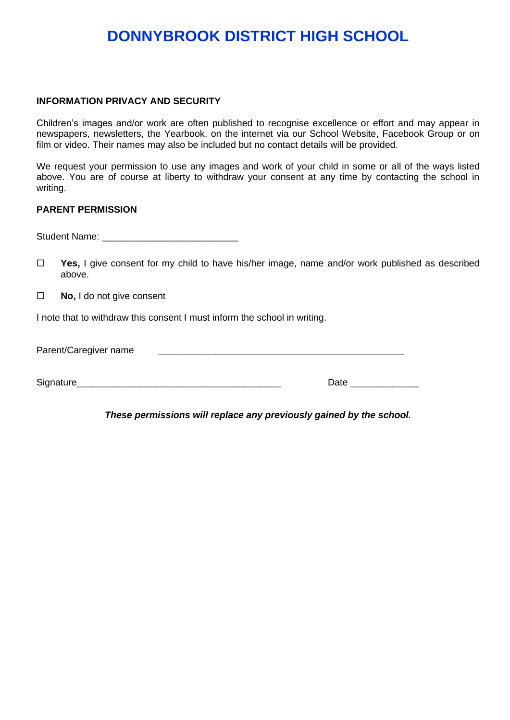### **INFORMATION PRIVACY AND SECURITY**

Children's images and/or work are often published to recognise excellence or effort and may appear in newspapers, newsletters, the Yearbook, on the internet via our School Website, Facebook Group or on film or video. Their names may also be included but no contact details will be provided.

We request your permission to use any images and work of your child in some or all of the ways listed above. You are of course at liberty to withdraw your consent at any time by contacting the school in writing.

#### **PARENT PERMISSION**

Student Name: \_\_\_\_\_\_\_\_\_\_\_\_\_\_\_\_\_\_\_\_\_\_\_\_\_\_

- **Yes,** I give consent for my child to have his/her image, name and/or work published as described above.
- **No,** I do not give consent

I note that to withdraw this consent I must inform the school in writing.

| Parent/Caregiver name |  |
|-----------------------|--|
|                       |  |

| Signature |  |
|-----------|--|
|-----------|--|

*These permissions will replace any previously gained by the school.*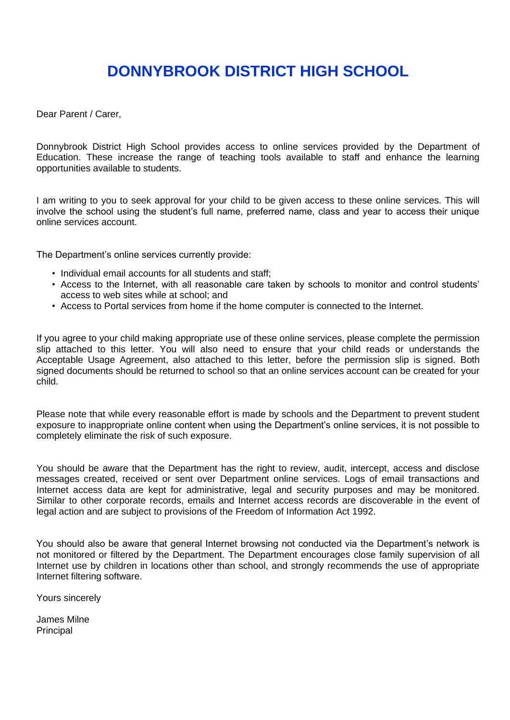Dear Parent / Carer,

Donnybrook District High School provides access to online services provided by the Department of Education. These increase the range of teaching tools available to staff and enhance the learning opportunities available to students.

I am writing to you to seek approval for your child to be given access to these online services. This will involve the school using the student's full name, preferred name, class and year to access their unique online services account.

The Department's online services currently provide:

- Individual email accounts for all students and staff;
- Access to the Internet, with all reasonable care taken by schools to monitor and control students' access to web sites while at school; and
- Access to Portal services from home if the home computer is connected to the Internet.

If you agree to your child making appropriate use of these online services, please complete the permission slip attached to this letter. You will also need to ensure that your child reads or understands the Acceptable Usage Agreement, also attached to this letter, before the permission slip is signed. Both signed documents should be returned to school so that an online services account can be created for your child.

Please note that while every reasonable effort is made by schools and the Department to prevent student exposure to inappropriate online content when using the Department's online services, it is not possible to completely eliminate the risk of such exposure.

You should be aware that the Department has the right to review, audit, intercept, access and disclose messages created, received or sent over Department online services. Logs of email transactions and Internet access data are kept for administrative, legal and security purposes and may be monitored. Similar to other corporate records, emails and Internet access records are discoverable in the event of legal action and are subject to provisions of the Freedom of Information Act 1992.

You should also be aware that general Internet browsing not conducted via the Department's network is not monitored or filtered by the Department. The Department encourages close family supervision of all Internet use by children in locations other than school, and strongly recommends the use of appropriate Internet filtering software.

Yours sincerely

James Milne Principal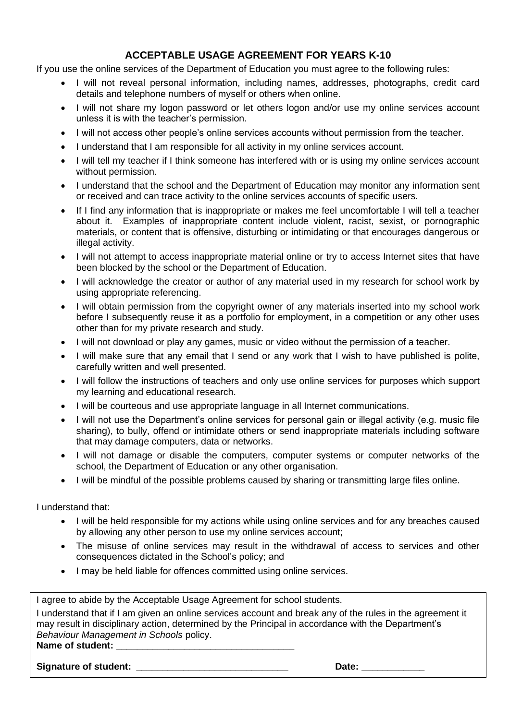## **ACCEPTABLE USAGE AGREEMENT FOR YEARS K-10**

If you use the online services of the Department of Education you must agree to the following rules:

- I will not reveal personal information, including names, addresses, photographs, credit card details and telephone numbers of myself or others when online.
- I will not share my logon password or let others logon and/or use my online services account unless it is with the teacher's permission.
- I will not access other people's online services accounts without permission from the teacher.
- I understand that I am responsible for all activity in my online services account.
- I will tell my teacher if I think someone has interfered with or is using my online services account without permission.
- I understand that the school and the Department of Education may monitor any information sent or received and can trace activity to the online services accounts of specific users.
- If I find any information that is inappropriate or makes me feel uncomfortable I will tell a teacher about it. Examples of inappropriate content include violent, racist, sexist, or pornographic materials, or content that is offensive, disturbing or intimidating or that encourages dangerous or illegal activity.
- I will not attempt to access inappropriate material online or try to access Internet sites that have been blocked by the school or the Department of Education.
- I will acknowledge the creator or author of any material used in my research for school work by using appropriate referencing.
- I will obtain permission from the copyright owner of any materials inserted into my school work before I subsequently reuse it as a portfolio for employment, in a competition or any other uses other than for my private research and study.
- I will not download or play any games, music or video without the permission of a teacher.
- I will make sure that any email that I send or any work that I wish to have published is polite, carefully written and well presented.
- I will follow the instructions of teachers and only use online services for purposes which support my learning and educational research.
- I will be courteous and use appropriate language in all Internet communications.
- I will not use the Department's online services for personal gain or illegal activity (e.g. music file sharing), to bully, offend or intimidate others or send inappropriate materials including software that may damage computers, data or networks.
- I will not damage or disable the computers, computer systems or computer networks of the school, the Department of Education or any other organisation.
- I will be mindful of the possible problems caused by sharing or transmitting large files online.

I understand that:

- I will be held responsible for my actions while using online services and for any breaches caused by allowing any other person to use my online services account;
- The misuse of online services may result in the withdrawal of access to services and other consequences dictated in the School's policy; and
- I may be held liable for offences committed using online services.

| I agree to abide by the Acceptable Usage Agreement for school students.                                   |
|-----------------------------------------------------------------------------------------------------------|
| I understand that if I am given an online services account and break any of the rules in the agreement it |
| may result in disciplinary action, determined by the Principal in accordance with the Department's        |
| Behaviour Management in Schools policy.                                                                   |
| Name of student:                                                                                          |
|                                                                                                           |

**Signature of student: and the student of student in the student of students of students of students of students of students of students of students of students of students of students of students of students of students**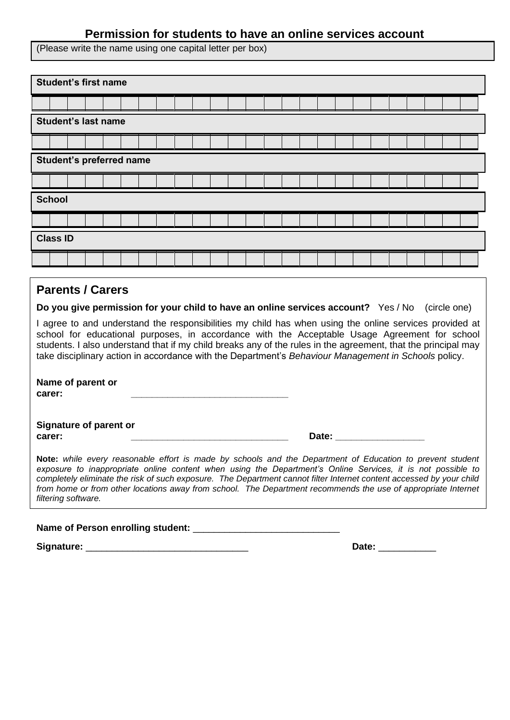# **Permission for students to have an online services account**

(Please write the name using one capital letter per box)

|                                                                                                                                                                                                                                                                                                                                                                                                                                  |                            |  |  | <b>Student's first name</b>                                                        |  |  |  |  |  |  |  |  |  |  |  |              |  |  |
|----------------------------------------------------------------------------------------------------------------------------------------------------------------------------------------------------------------------------------------------------------------------------------------------------------------------------------------------------------------------------------------------------------------------------------|----------------------------|--|--|------------------------------------------------------------------------------------|--|--|--|--|--|--|--|--|--|--|--|--------------|--|--|
|                                                                                                                                                                                                                                                                                                                                                                                                                                  |                            |  |  |                                                                                    |  |  |  |  |  |  |  |  |  |  |  |              |  |  |
|                                                                                                                                                                                                                                                                                                                                                                                                                                  | <b>Student's last name</b> |  |  |                                                                                    |  |  |  |  |  |  |  |  |  |  |  |              |  |  |
|                                                                                                                                                                                                                                                                                                                                                                                                                                  |                            |  |  |                                                                                    |  |  |  |  |  |  |  |  |  |  |  |              |  |  |
| <b>Student's preferred name</b>                                                                                                                                                                                                                                                                                                                                                                                                  |                            |  |  |                                                                                    |  |  |  |  |  |  |  |  |  |  |  |              |  |  |
|                                                                                                                                                                                                                                                                                                                                                                                                                                  |                            |  |  |                                                                                    |  |  |  |  |  |  |  |  |  |  |  |              |  |  |
|                                                                                                                                                                                                                                                                                                                                                                                                                                  | <b>School</b>              |  |  |                                                                                    |  |  |  |  |  |  |  |  |  |  |  |              |  |  |
|                                                                                                                                                                                                                                                                                                                                                                                                                                  |                            |  |  |                                                                                    |  |  |  |  |  |  |  |  |  |  |  |              |  |  |
|                                                                                                                                                                                                                                                                                                                                                                                                                                  | <b>Class ID</b>            |  |  |                                                                                    |  |  |  |  |  |  |  |  |  |  |  |              |  |  |
|                                                                                                                                                                                                                                                                                                                                                                                                                                  |                            |  |  |                                                                                    |  |  |  |  |  |  |  |  |  |  |  |              |  |  |
|                                                                                                                                                                                                                                                                                                                                                                                                                                  | <b>Parents / Carers</b>    |  |  |                                                                                    |  |  |  |  |  |  |  |  |  |  |  |              |  |  |
|                                                                                                                                                                                                                                                                                                                                                                                                                                  |                            |  |  | Do you give permission for your child to have an online services account? Yes / No |  |  |  |  |  |  |  |  |  |  |  | (circle one) |  |  |
| I agree to and understand the responsibilities my child has when using the online services provided at<br>school for educational purposes, in accordance with the Acceptable Usage Agreement for school<br>students. I also understand that if my child breaks any of the rules in the agreement, that the principal may<br>take disciplinary action in accordance with the Department's Behaviour Management in Schools policy. |                            |  |  |                                                                                    |  |  |  |  |  |  |  |  |  |  |  |              |  |  |
|                                                                                                                                                                                                                                                                                                                                                                                                                                  | carer:                     |  |  | Name of parent or                                                                  |  |  |  |  |  |  |  |  |  |  |  |              |  |  |
|                                                                                                                                                                                                                                                                                                                                                                                                                                  |                            |  |  | Signature of parent or                                                             |  |  |  |  |  |  |  |  |  |  |  |              |  |  |

**carer: Date:** *carer:*

**Note:** *while every reasonable effort is made by schools and the Department of Education to prevent student exposure to inappropriate online content when using the Department's Online Services, it is not possible to completely eliminate the risk of such exposure. The Department cannot filter Internet content accessed by your child from home or from other locations away from school. The Department recommends the use of appropriate Internet filtering software.*

Name of Person enrolling student:

**Signature:** \_\_\_\_\_\_\_\_\_\_\_\_\_\_\_\_\_\_\_\_\_\_\_\_\_\_\_\_\_\_\_ **Date:** \_\_\_\_\_\_\_\_\_\_\_